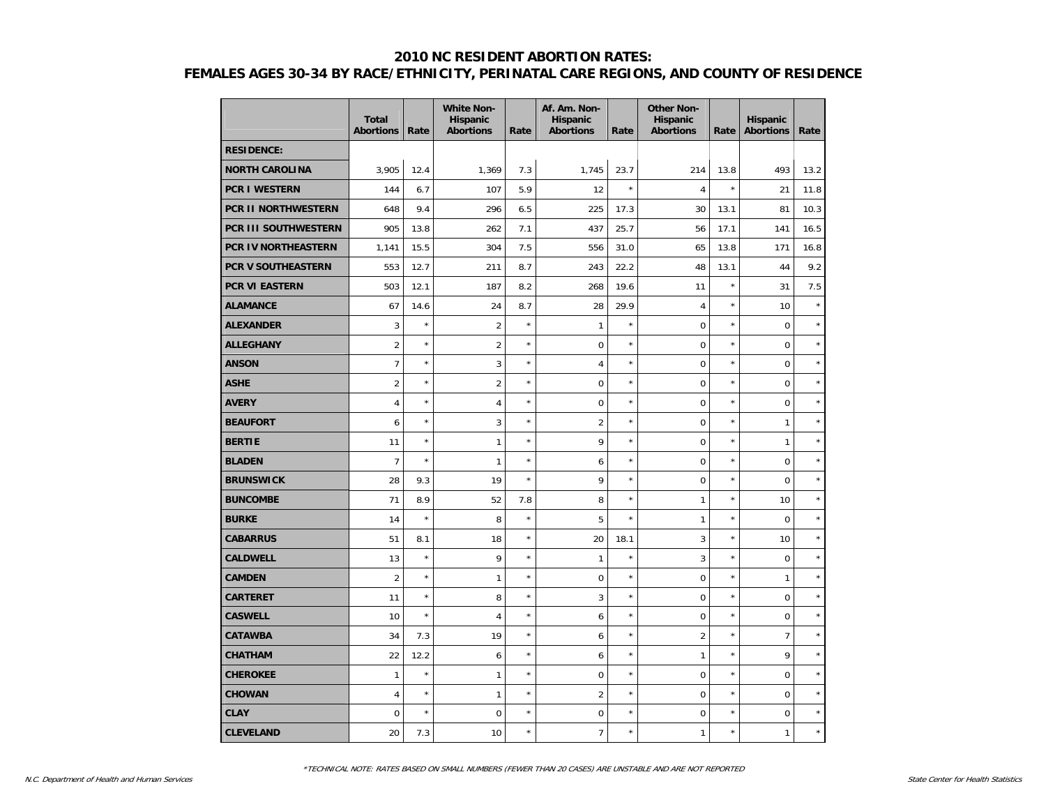|                            | <b>Total</b><br><b>Abortions</b> | Rate    | <b>White Non-</b><br><b>Hispanic</b><br><b>Abortions</b> | Rate    | Af. Am. Non-<br><b>Hispanic</b><br><b>Abortions</b> | Rate       | <b>Other Non-</b><br><b>Hispanic</b><br><b>Abortions</b> | Rate    | Hispanic<br><b>Abortions</b> | Rate    |
|----------------------------|----------------------------------|---------|----------------------------------------------------------|---------|-----------------------------------------------------|------------|----------------------------------------------------------|---------|------------------------------|---------|
| <b>RESIDENCE:</b>          |                                  |         |                                                          |         |                                                     |            |                                                          |         |                              |         |
| <b>NORTH CAROLINA</b>      | 3,905                            | 12.4    | 1,369                                                    | 7.3     | 1,745                                               | 23.7       | 214                                                      | 13.8    | 493                          | 13.2    |
| <b>PCR I WESTERN</b>       | 144                              | 6.7     | 107                                                      | 5.9     | 12                                                  | $\star$    | $\overline{4}$                                           | $\star$ | 21                           | 11.8    |
| <b>PCR II NORTHWESTERN</b> | 648                              | 9.4     | 296                                                      | 6.5     | 225                                                 | 17.3       | 30                                                       | 13.1    | 81                           | 10.3    |
| PCR III SOUTHWESTERN       | 905                              | 13.8    | 262                                                      | 7.1     | 437                                                 | 25.7       | 56                                                       | 17.1    | 141                          | 16.5    |
| PCR IV NORTHEASTERN        | 1,141                            | 15.5    | 304                                                      | 7.5     | 556                                                 | 31.0       | 65                                                       | 13.8    | 171                          | 16.8    |
| <b>PCR V SOUTHEASTERN</b>  | 553                              | 12.7    | 211                                                      | 8.7     | 243                                                 | 22.2       | 48                                                       | 13.1    | 44                           | 9.2     |
| PCR VI EASTERN             | 503                              | 12.1    | 187                                                      | 8.2     | 268                                                 | 19.6       | 11                                                       | ×       | 31                           | 7.5     |
| <b>ALAMANCE</b>            | 67                               | 14.6    | 24                                                       | 8.7     | 28                                                  | 29.9       | $\overline{4}$                                           | $\star$ | 10                           | $\star$ |
| <b>ALEXANDER</b>           | 3                                | $\star$ | $\overline{2}$                                           | $\star$ | $\mathbf{1}$                                        | $\star$    | $\mathbf 0$                                              | $\star$ | $\pmb{0}$                    | $\star$ |
| <b>ALLEGHANY</b>           | $\overline{2}$                   | $\star$ | $\overline{2}$                                           | $\star$ | $\mathbf 0$                                         | $^{\star}$ | $\mathbf 0$                                              | $\star$ | $\pmb{0}$                    | $\star$ |
| <b>ANSON</b>               | $\overline{7}$                   | $\star$ | 3                                                        | $\star$ | $\overline{4}$                                      | $\star$    | $\mathbf 0$                                              | ×       | $\mathbf 0$                  | $\star$ |
| <b>ASHE</b>                | $\overline{2}$                   | $\star$ | $\overline{2}$                                           | $\star$ | $\mathbf 0$                                         | $\star$    | $\overline{0}$                                           | $\star$ | $\mathbf 0$                  | $\star$ |
| <b>AVERY</b>               | $\overline{4}$                   | $\star$ | $\overline{4}$                                           | $\star$ | $\pmb{0}$                                           | $\star$    | $\mathbf 0$                                              | $\star$ | $\mathbf 0$                  | $\star$ |
| <b>BEAUFORT</b>            | 6                                | $\star$ | 3                                                        | $\star$ | $\overline{2}$                                      | $\star$    | $\mathbf 0$                                              | $\star$ | $\mathbf{1}$                 | $\star$ |
| <b>BERTIE</b>              | 11                               | $\star$ | 1                                                        | $\star$ | 9                                                   | $\star$    | $\mathbf 0$                                              | $\star$ | 1                            | $\star$ |
| <b>BLADEN</b>              | $\overline{7}$                   | $\star$ | $\mathbf{1}$                                             | $\star$ | 6                                                   | $\star$    | $\overline{0}$                                           | $\star$ | $\mathbf 0$                  | $\star$ |
| <b>BRUNSWICK</b>           | 28                               | 9.3     | 19                                                       | $\star$ | 9                                                   | $\star$    | $\mathbf 0$                                              | $\star$ | $\mathbf 0$                  | $\star$ |
| <b>BUNCOMBE</b>            | 71                               | 8.9     | 52                                                       | 7.8     | 8                                                   | $\star$    | $\mathbf{1}$                                             | $\star$ | 10                           | $\star$ |
| <b>BURKE</b>               | 14                               | $\star$ | 8                                                        | $\star$ | 5                                                   | $\star$    | 1                                                        | $\star$ | $\mathbf 0$                  | $\star$ |
| <b>CABARRUS</b>            | 51                               | 8.1     | 18                                                       | $\star$ | 20                                                  | 18.1       | 3                                                        | $\star$ | 10                           | $\star$ |
| <b>CALDWELL</b>            | 13                               | $\star$ | 9                                                        | $\star$ | $\mathbf{1}$                                        | $\star$    | 3                                                        | $\star$ | $\mathbf 0$                  | $\star$ |
| <b>CAMDEN</b>              | $\overline{2}$                   | $\star$ | $\mathbf{1}$                                             | $\star$ | $\mathbf 0$                                         | $\star$    | $\mathbf 0$                                              | $\star$ | $\mathbf{1}$                 | $\star$ |
| CARTERET                   | 11                               | $\star$ | 8                                                        | $\star$ | $\overline{3}$                                      | $\star$    | $\mathbf 0$                                              | $\star$ | $\pmb{0}$                    | $\star$ |
| <b>CASWELL</b>             | 10                               | $\star$ | 4                                                        | $\star$ | 6                                                   | $\star$    | $\mathbf 0$                                              | ×       | $\mathbf 0$                  | $\star$ |
| <b>CATAWBA</b>             | 34                               | 7.3     | 19                                                       | $\star$ | 6                                                   | $\star$    | $\overline{2}$                                           | $\star$ | $\overline{7}$               | $\star$ |
| <b>CHATHAM</b>             | 22                               | 12.2    | 6                                                        | $\star$ | 6                                                   | $\star$    | 1                                                        | $\star$ | 9                            | $\star$ |
| <b>CHEROKEE</b>            | 1                                | $\star$ | $\mathbf{1}$                                             | $\star$ | $\mathbf 0$                                         | $\star$    | $\mathbf 0$                                              | $\star$ | $\pmb{0}$                    | $\star$ |
| <b>CHOWAN</b>              | $\overline{4}$                   | $\star$ | 1                                                        | $\star$ | $\overline{2}$                                      | $\star$    | $\mathbf 0$                                              | $\star$ | $\mathbf 0$                  | $\star$ |
| <b>CLAY</b>                | 0                                | $\star$ | 0                                                        | $\star$ | $\mathbf 0$                                         | $\star$    | $\mathbf 0$                                              | $\star$ | $\mathbf 0$                  | $\star$ |
| <b>CLEVELAND</b>           | 20                               | 7.3     | 10                                                       | $\star$ | $\overline{7}$                                      | $\star$    | 1                                                        | $\star$ | $\mathbf{1}$                 | $\star$ |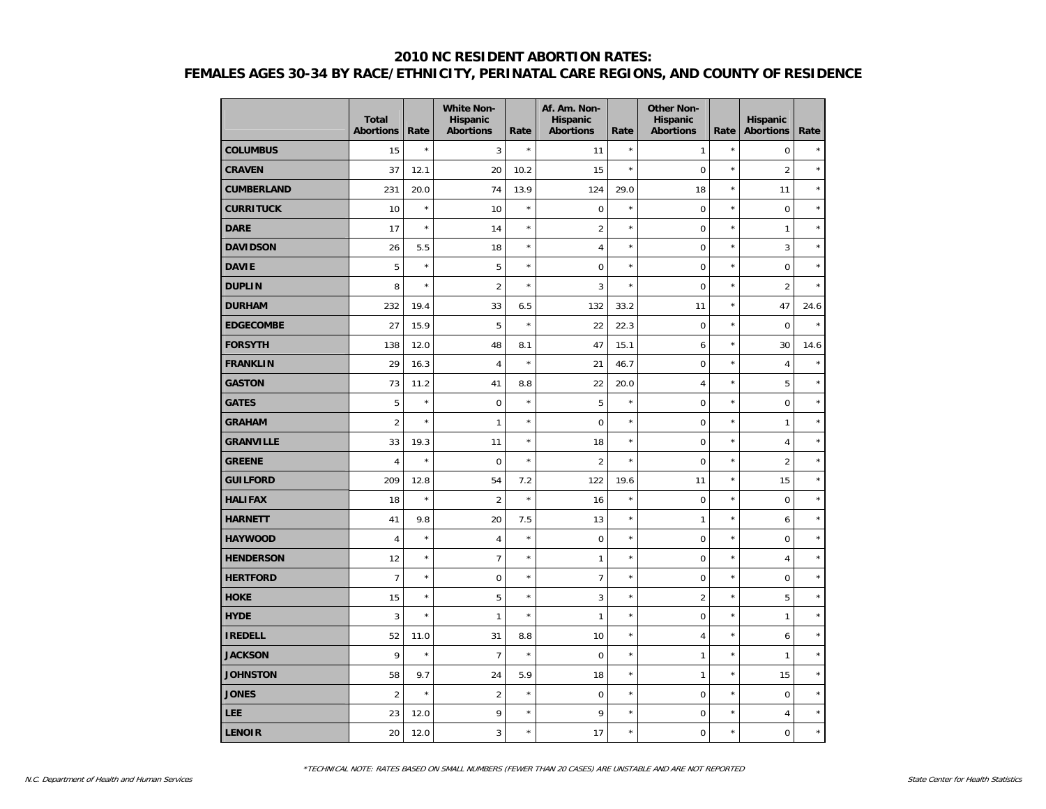|                   | <b>Total</b><br><b>Abortions</b> | Rate    | <b>White Non-</b><br>Hispanic<br><b>Abortions</b> | Rate       | Af. Am. Non-<br><b>Hispanic</b><br><b>Abortions</b> | Rate       | <b>Other Non-</b><br>Hispanic<br><b>Abortions</b> | Rate    | <b>Hispanic</b><br><b>Abortions</b> | Rate    |
|-------------------|----------------------------------|---------|---------------------------------------------------|------------|-----------------------------------------------------|------------|---------------------------------------------------|---------|-------------------------------------|---------|
| <b>COLUMBUS</b>   | 15                               | $\star$ | 3                                                 | $\star$    | 11                                                  | $\star$    | 1                                                 | $\star$ | $\mathbf 0$                         |         |
| <b>CRAVEN</b>     | 37                               | 12.1    | 20                                                | 10.2       | 15                                                  | $\star$    | $\mathbf 0$                                       | $\star$ | 2                                   | $\star$ |
| <b>CUMBERLAND</b> | 231                              | 20.0    | 74                                                | 13.9       | 124                                                 | 29.0       | 18                                                | $\star$ | 11                                  | $\star$ |
| <b>CURRITUCK</b>  | 10                               | $\star$ | 10                                                | $^{\star}$ | $\mathbf 0$                                         | $\star$    | $\pmb{0}$                                         | $\star$ | $\pmb{0}$                           | $\star$ |
| <b>DARE</b>       | 17                               | $\star$ | 14                                                | $\star$    | $\overline{2}$                                      | $\star$    | $\mathbf 0$                                       | $\star$ | $\mathbf{1}$                        | $\star$ |
| <b>DAVIDSON</b>   | 26                               | 5.5     | 18                                                | $\star$    | 4                                                   | $^{\star}$ | $\mathbf 0$                                       | $\star$ | 3                                   | $\star$ |
| <b>DAVIE</b>      | 5                                | $\star$ | 5                                                 | $^{\star}$ | $\mathbf 0$                                         | $\star$    | $\mathbf 0$                                       | $\star$ | $\mathbf 0$                         | $\star$ |
| <b>DUPLIN</b>     | 8                                | $\star$ | $\overline{2}$                                    | $^{\star}$ | 3                                                   | $\star$    | $\overline{0}$                                    | $\star$ | $\overline{2}$                      | $\star$ |
| <b>DURHAM</b>     | 232                              | 19.4    | 33                                                | 6.5        | 132                                                 | 33.2       | 11                                                | $\star$ | 47                                  | 24.6    |
| <b>EDGECOMBE</b>  | 27                               | 15.9    | 5                                                 | $\star$    | 22                                                  | 22.3       | $\pmb{0}$                                         | $\star$ | $\mathsf 0$                         | $\star$ |
| <b>FORSYTH</b>    | 138                              | 12.0    | 48                                                | 8.1        | 47                                                  | 15.1       | 6                                                 | $\star$ | 30                                  | 14.6    |
| <b>FRANKLIN</b>   | 29                               | 16.3    | $\overline{4}$                                    | $\star$    | 21                                                  | 46.7       | 0                                                 | $\star$ | $\overline{4}$                      | $\star$ |
| <b>GASTON</b>     | 73                               | 11.2    | 41                                                | 8.8        | 22                                                  | 20.0       | $\overline{4}$                                    | $\star$ | 5                                   | $\star$ |
| <b>GATES</b>      | 5                                | $\star$ | $\mathbf 0$                                       | $^{\star}$ | 5                                                   | $\star$    | $\mathbf 0$                                       | $\star$ | $\mathbf 0$                         | $\star$ |
| <b>GRAHAM</b>     | $\overline{2}$                   | $\star$ | $\mathbf{1}$                                      | $\star$    | $\mathbf 0$                                         | $\star$    | $\overline{0}$                                    | $\star$ | $\mathbf{1}$                        | $\star$ |
| <b>GRANVILLE</b>  | 33                               | 19.3    | 11                                                | $\star$    | 18                                                  | $\star$    | $\overline{0}$                                    | $\star$ | $\overline{4}$                      | $\star$ |
| <b>GREENE</b>     | $\overline{4}$                   | $\star$ | $\mathbf 0$                                       | $\star$    | $\overline{2}$                                      | $\star$    | $\mathbf 0$                                       | $\star$ | $\overline{2}$                      | $\star$ |
| <b>GUILFORD</b>   | 209                              | 12.8    | 54                                                | 7.2        | 122                                                 | 19.6       | 11                                                | $\star$ | 15                                  | $\star$ |
| <b>HALIFAX</b>    | 18                               | $\star$ | $\overline{2}$                                    | $\star$    | 16                                                  | $\star$    | $\mathbf 0$                                       | $\star$ | $\mathbf 0$                         | $\star$ |
| <b>HARNETT</b>    | 41                               | 9.8     | 20                                                | 7.5        | 13                                                  | $\star$    | 1                                                 | $\star$ | 6                                   | $\star$ |
| <b>HAYWOOD</b>    | $\overline{4}$                   | $\star$ | $\overline{4}$                                    | $\star$    | $\mathbf 0$                                         | $\star$    | $\mathbf 0$                                       | $\star$ | $\mathbf 0$                         | $\star$ |
| <b>HENDERSON</b>  | 12                               | $\star$ | $\overline{7}$                                    | $\star$    | $\mathbf{1}$                                        | $\star$    | $\mathbf 0$                                       | $\star$ | $\overline{4}$                      | $\star$ |
| <b>HERTFORD</b>   | $\overline{7}$                   | $\star$ | $\Omega$                                          | $\star$    | $\overline{7}$                                      | $\star$    | 0                                                 | $\star$ | $\mathbf 0$                         | $\star$ |
| <b>HOKE</b>       | 15                               | $\star$ | 5                                                 | $\star$    | 3                                                   | $\star$    | $\overline{2}$                                    | $\star$ | 5                                   | $\star$ |
| <b>HYDE</b>       | 3                                | $\star$ | $\mathbf{1}$                                      | $\star$    | $\mathbf{1}$                                        | $\star$    | 0                                                 | $\star$ | $\mathbf{1}$                        | $\star$ |
| <b>IREDELL</b>    | 52                               | 11.0    | 31                                                | 8.8        | 10                                                  | $\star$    | 4                                                 | $\star$ | 6                                   | $\star$ |
| <b>JACKSON</b>    | 9                                | $\star$ | $\overline{7}$                                    | $\star$    | $\mathbf 0$                                         | $\star$    | 1                                                 | $\star$ | $\mathbf{1}$                        | $\star$ |
| <b>JOHNSTON</b>   | 58                               | 9.7     | 24                                                | 5.9        | 18                                                  | $\star$    | 1                                                 | $\star$ | 15                                  | $\star$ |
| <b>JONES</b>      | $\overline{2}$                   | $\star$ | $\overline{2}$                                    | $\star$    | $\mathbf 0$                                         | $\star$    | $\overline{0}$                                    | $\star$ | $\Omega$                            | $\star$ |
| LEE               | 23                               | 12.0    | 9                                                 | $\star$    | 9                                                   | $\star$    | 0                                                 | $\star$ | $\overline{4}$                      | $\star$ |
| <b>LENOIR</b>     | 20                               | 12.0    | 3                                                 | $\star$    | 17                                                  | $\star$    | $\overline{0}$                                    | $\star$ | $\mathbf 0$                         | $\star$ |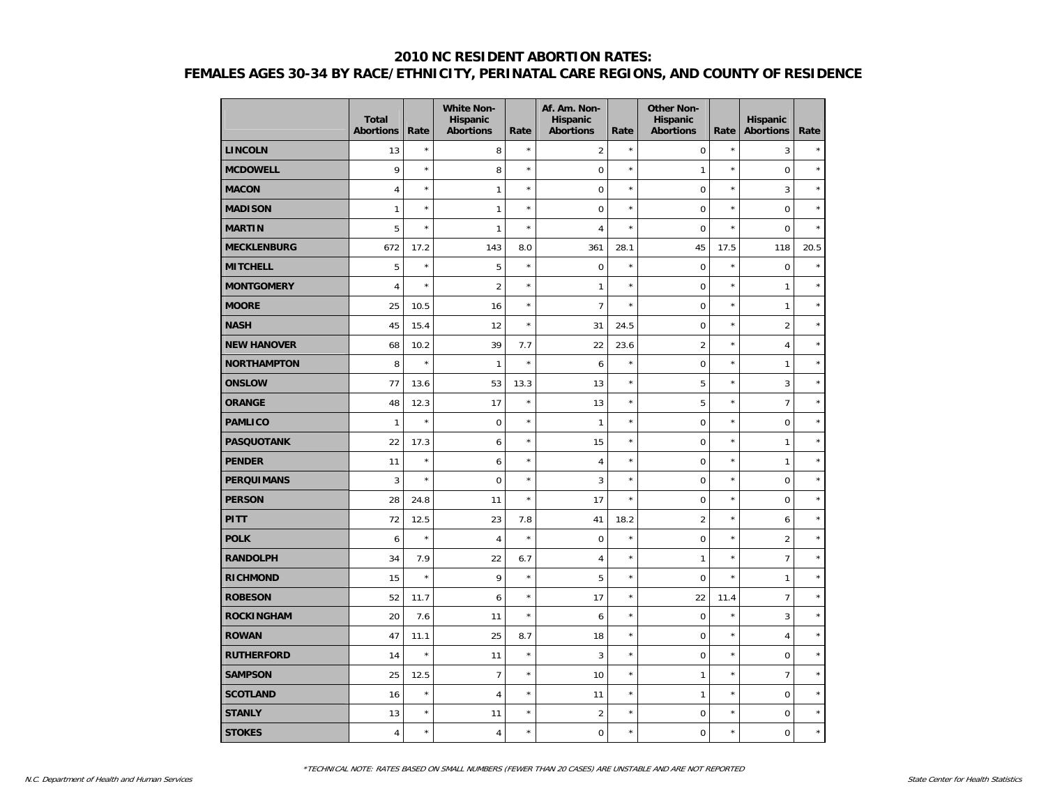|                    | <b>Total</b><br><b>Abortions</b> | Rate    | <b>White Non-</b><br>Hispanic<br><b>Abortions</b> | Rate    | Af. Am. Non-<br><b>Hispanic</b><br><b>Abortions</b> | Rate       | <b>Other Non-</b><br>Hispanic<br><b>Abortions</b> | Rate       | <b>Hispanic</b><br><b>Abortions</b> | Rate    |
|--------------------|----------------------------------|---------|---------------------------------------------------|---------|-----------------------------------------------------|------------|---------------------------------------------------|------------|-------------------------------------|---------|
| <b>LINCOLN</b>     | 13                               | $\star$ | 8                                                 | $\star$ | $\overline{2}$                                      | $\star$    | $\mathbf 0$                                       | $\star$    | 3                                   | $\star$ |
| <b>MCDOWELL</b>    | 9                                | $\star$ | 8                                                 | $\star$ | $\mathbf 0$                                         | $\star$    | 1                                                 | $\star$    | $\mathbf 0$                         | $\star$ |
| <b>MACON</b>       | $\overline{4}$                   | $\star$ | $\mathbf{1}$                                      | $\star$ | $\mathbf 0$                                         | $\star$    | $\mathbf 0$                                       | $\star$    | 3                                   | $\star$ |
| <b>MADISON</b>     | $\mathbf{1}$                     | $\star$ | $\mathbf{1}$                                      | $\star$ | $\mathbf 0$                                         | $\star$    | $\mathbf 0$                                       | $\star$    | $\mathbf 0$                         | $\star$ |
| <b>MARTIN</b>      | 5                                | $\star$ | $\mathbf{1}$                                      | $\star$ | $\overline{4}$                                      | $\star$    | $\overline{0}$                                    | $\star$    | $\mathbf 0$                         | $\star$ |
| <b>MECKLENBURG</b> | 672                              | 17.2    | 143                                               | 8.0     | 361                                                 | 28.1       | 45                                                | 17.5       | 118                                 | 20.5    |
| <b>MITCHELL</b>    | 5                                | $\star$ | 5                                                 | $\star$ | $\pmb{0}$                                           | $\star$    | $\mathbf 0$                                       | $\star$    | $\mathsf 0$                         | $\star$ |
| <b>MONTGOMERY</b>  | $\overline{4}$                   | $\star$ | $\overline{2}$                                    | $\star$ | $\mathbf{1}$                                        | $\star$    | $\mathbf 0$                                       | $\star$    | $\mathbf{1}$                        | $\star$ |
| <b>MOORE</b>       | 25                               | 10.5    | 16                                                | $\star$ | $\overline{7}$                                      | $\star$    | $\mathbf 0$                                       | $\star$    | 1                                   | $\star$ |
| <b>NASH</b>        | 45                               | 15.4    | 12                                                | $\star$ | 31                                                  | 24.5       | $\mathbf 0$                                       | $\star$    | $\overline{2}$                      | $\star$ |
| <b>NEW HANOVER</b> | 68                               | 10.2    | 39                                                | 7.7     | 22                                                  | 23.6       | $\overline{2}$                                    | $\star$    | $\overline{4}$                      | $\star$ |
| <b>NORTHAMPTON</b> | 8                                | $\star$ | $\mathbf{1}$                                      | $\star$ | 6                                                   | $^{\star}$ | $\overline{0}$                                    | $\star$    | $\mathbf{1}$                        | $\star$ |
| <b>ONSLOW</b>      | 77                               | 13.6    | 53                                                | 13.3    | 13                                                  | $\star$    | 5                                                 | $\star$    | 3                                   | $\star$ |
| <b>ORANGE</b>      | 48                               | 12.3    | 17                                                | $\star$ | 13                                                  | $\star$    | 5                                                 | $\star$    | $\overline{7}$                      | $\star$ |
| <b>PAMLICO</b>     | $\mathbf{1}$                     | $\star$ | $\mathbf 0$                                       | $\star$ | $\mathbf{1}$                                        | $\star$    | $\mathbf 0$                                       | $\star$    | $\mathbf 0$                         | $\star$ |
| <b>PASQUOTANK</b>  | 22                               | 17.3    | 6                                                 | $\star$ | 15                                                  | $\star$    | $\mathbf 0$                                       | $\star$    | $\mathbf{1}$                        | $\star$ |
| <b>PENDER</b>      | 11                               | $\star$ | 6                                                 | $\star$ | $\overline{4}$                                      | $\star$    | $\mathbf 0$                                       | $\star$    | $\mathbf{1}$                        | $\star$ |
| <b>PERQUIMANS</b>  | 3                                | $\star$ | $\mathbf 0$                                       | $\star$ | 3                                                   | $^{\star}$ | $\mathbf 0$                                       | $\star$    | $\pmb{0}$                           | $\star$ |
| <b>PERSON</b>      | 28                               | 24.8    | 11                                                | $\star$ | 17                                                  | $\star$    | $\mathbf 0$                                       | $\star$    | $\mathbf 0$                         | $\star$ |
| <b>PITT</b>        | 72                               | 12.5    | 23                                                | 7.8     | 41                                                  | 18.2       | $\overline{2}$                                    | $\star$    | 6                                   | $\star$ |
| <b>POLK</b>        | 6                                | $\star$ | $\overline{4}$                                    | $\star$ | $\overline{0}$                                      | $^{\star}$ | $\mathbf 0$                                       | $\star$    | $\overline{2}$                      | $\star$ |
| <b>RANDOLPH</b>    | 34                               | 7.9     | 22                                                | 6.7     | 4                                                   | $^{\star}$ | $\mathbf{1}$                                      | $\star$    | $\overline{7}$                      | $\star$ |
| <b>RICHMOND</b>    | 15                               | $\star$ | 9                                                 | $\star$ | 5                                                   | $^{\star}$ | $\mathbf 0$                                       | $\star$    | $\mathbf{1}$                        | $\star$ |
| <b>ROBESON</b>     | 52                               | 11.7    | 6                                                 | $\star$ | 17                                                  | $\star$    | 22                                                | 11.4       | $\overline{7}$                      | $\star$ |
| <b>ROCKINGHAM</b>  | 20                               | 7.6     | 11                                                | $\star$ | 6                                                   | $\star$    | $\mathbf 0$                                       | $\star$    | 3                                   | $\star$ |
| <b>ROWAN</b>       | 47                               | 11.1    | 25                                                | 8.7     | 18                                                  | $^{\star}$ | $\mathbf 0$                                       | ×          | $\overline{4}$                      | $\star$ |
| <b>RUTHERFORD</b>  | 14                               | $\star$ | 11                                                | $\star$ | 3                                                   | $^{\star}$ | $\mathbf 0$                                       | $^{\star}$ | $\mathbf 0$                         | $\star$ |
| <b>SAMPSON</b>     | 25                               | 12.5    | $\overline{7}$                                    | $\star$ | 10                                                  | $^{\star}$ | 1                                                 | $\star$    | $\overline{7}$                      | $\star$ |
| <b>SCOTLAND</b>    | 16                               | $\star$ | $\overline{4}$                                    | $\star$ | 11                                                  | $^{\star}$ | 1                                                 | $\star$    | $\mathbf 0$                         | $\star$ |
| <b>STANLY</b>      | 13                               | $\star$ | 11                                                | $\star$ | $\overline{2}$                                      | $^{\star}$ | $\mathbf 0$                                       | $\star$    | $\pmb{0}$                           | $\star$ |
| <b>STOKES</b>      | 4                                | $\star$ | $\overline{4}$                                    | $\star$ | $\mathbf 0$                                         | $\star$    | $\mathbf 0$                                       | $\star$    | $\mathbf 0$                         | $\star$ |